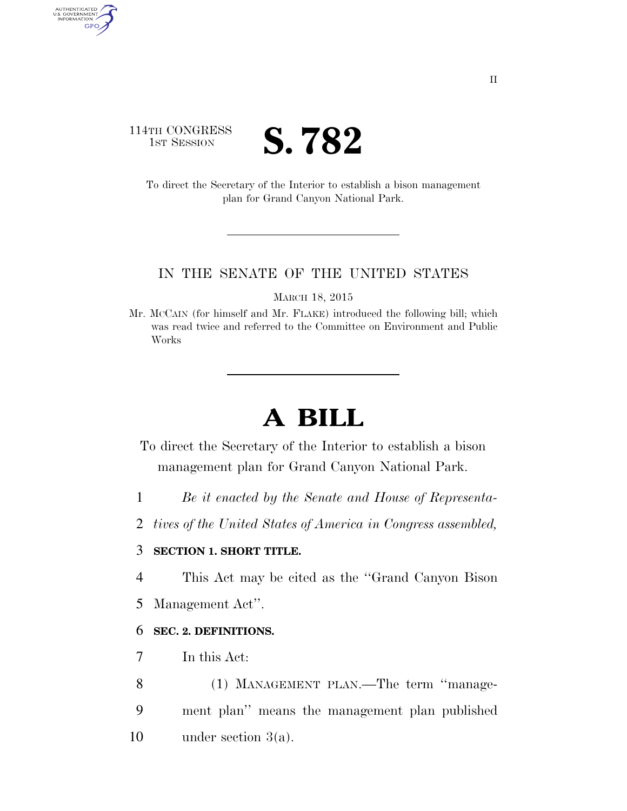## 114TH CONGRESS **IST SESSION S. 782**

AUTHENTICATED<br>U.S. GOVERNMENT<br>INFORMATION GPO

> To direct the Secretary of the Interior to establish a bison management plan for Grand Canyon National Park.

#### IN THE SENATE OF THE UNITED STATES

MARCH 18, 2015

Mr. MCCAIN (for himself and Mr. FLAKE) introduced the following bill; which was read twice and referred to the Committee on Environment and Public Works

# **A BILL**

- To direct the Secretary of the Interior to establish a bison management plan for Grand Canyon National Park.
- 1 *Be it enacted by the Senate and House of Representa-*
- 2 *tives of the United States of America in Congress assembled,*

### 3 **SECTION 1. SHORT TITLE.**

- 4 This Act may be cited as the ''Grand Canyon Bison
- 5 Management Act''.

### 6 **SEC. 2. DEFINITIONS.**

- 7 In this Act:
- 8 (1) MANAGEMENT PLAN.—The term ''manage-9 ment plan'' means the management plan published 10 under section 3(a).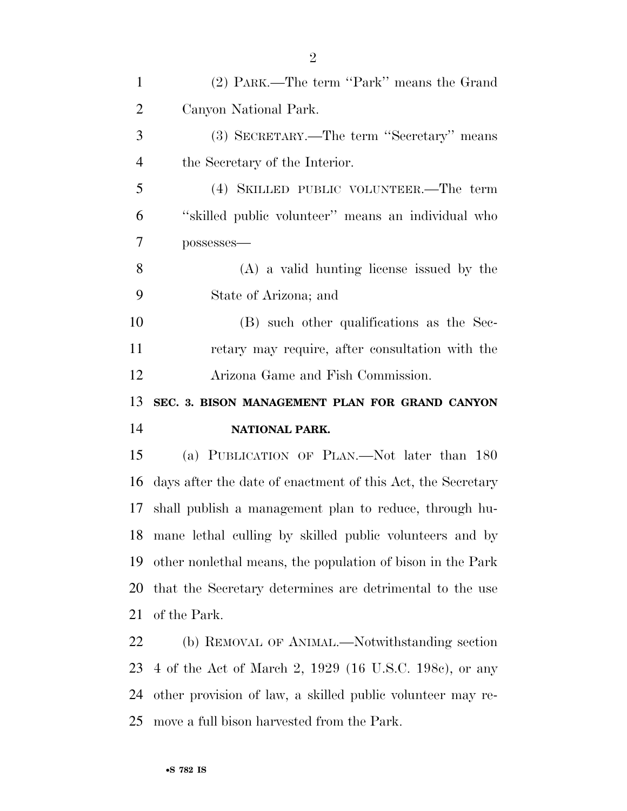| $\mathbf{1}$   | (2) PARK.—The term "Park" means the Grand                   |
|----------------|-------------------------------------------------------------|
| $\overline{2}$ | Canyon National Park.                                       |
| 3              | (3) SECRETARY.—The term "Secretary" means                   |
| $\overline{4}$ | the Secretary of the Interior.                              |
| 5              | (4) SKILLED PUBLIC VOLUNTEER.—The term                      |
| 6              | "skilled public volunteer" means an individual who          |
| 7              | possesses-                                                  |
| 8              | $(A)$ a valid hunting license issued by the                 |
| 9              | State of Arizona; and                                       |
| 10             | (B) such other qualifications as the Sec-                   |
| 11             | retary may require, after consultation with the             |
| 12             | Arizona Game and Fish Commission.                           |
|                |                                                             |
| 13             | SEC. 3. BISON MANAGEMENT PLAN FOR GRAND CANYON              |
| 14             | NATIONAL PARK.                                              |
| 15             | (a) PUBLICATION OF PLAN.—Not later than 180                 |
| 16             | days after the date of enactment of this Act, the Secretary |
| 17             | shall publish a management plan to reduce, through hu-      |
| 18             | mane lethal culling by skilled public volunteers and by     |
| 19             | other nonlethal means, the population of bison in the Park  |
| 20             | that the Secretary determines are detrimental to the use    |
| 21             | of the Park.                                                |
| 22             | (b) REMOVAL OF ANIMAL.—Notwithstanding section              |
| 23             | 4 of the Act of March 2, 1929 (16 U.S.C. 198c), or any      |

move a full bison harvested from the Park.